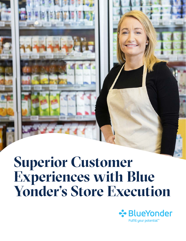# **Superior Customer Experiences with Blue Yonder's Store Execution**

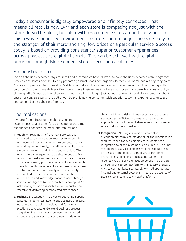Today's consumer is digitally empowered and infinitely connected. That means all retail is now 24/7 and each store is competing not just with the store down the block, but also with e-commerce sites around the world. In this always-connected environment, retailers can no longer succeed solely on the strength of their merchandising, low prices or a particular service. Success today is based on providing consistently superior customer experiences across physical and digital channels. This can be achieved with digital precision through Blue Yonder's store execution capabilities.

## An industry in flux

Even as the lines between physical retail and e-commerce have blurred, so have the lines between retail segments. Convenience stores now sell freshly prepared gourmet foods and organics. In fact, 85% of millennials say they go to C-stores for prepared foods weekly. Fast-food outlets and restaurants now offer online and mobile ordering with curbside pickup or home delivery. Drug stores have in-store health clinics and grocers have bank branches and drycleaning. All of these additional services mean retail is no longer just about assortments and planograms, it's about customer convenience, and it's all driven by providing the consumer with superior customer experiences, localized and personalized to their preferences.

# The implications

Pivoting from a focus on merchandising and assortments to a broader focus on superior customer experiences has several important implications.

- **1. People** Providing all of the new services and enhanced customer support requires more people with new skills at a time when HR budgets are not expanding proportionally, if at all. As a result, there is often more work to do than people to do it. This means store managers must be able to get out from behind their desks and associates must be empowered to more efficiently provide a variety of services while interacting with customers. This requires broad access to information delivered simply and immediately via mobile devices. It also requires automation of routine tasks and knowledge enhancement through artificial intelligence (AI) and machine learning (ML) to make managers and associates more productive and effective at delivering personalized experiences.
- **2.Business processes** The pivot to delivering superior customer experiences also means business processes must go beyond point solutions and functional excellence to create end-to-end business process integration that seamlessly delivers personalized products and services into customers hands when

they want them. Making these end-to-end processes seamless and efficient requires a store execution approach that digitizes and streamlines the processes while bridging functional silos.

**3. Integration** – No single solution, even a store execution platform, can provide all of the functionality required to run today's complex retail operations. Integration to other systems such as ERP, POS or CRM may be necessary to seamlessly complete business processes from headquarters down to customer interactions and across franchise networks. This requires that the store execution solution is built on an open architecture platform with industry-standard APIs to communicate seamlessly with all appropriate internal and external solutions. That is the essence of Blue Yonder's Luminate™ Retail platform.

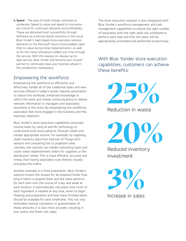**4.Speed** – The pace of retail change continues to accelerate. Speed to value and speed to innovation are critical for continued relevance and profitability. These are delivered most successfully through Software-as-a-Service (SaaS) solutions in the cloud. Blue Yonder's SaaS-based store execution solution delivered on the Microsoft Azure Cloud enables rapid time to value during initial implementation, as well as for the many innovations added over time through the service. With this always-on, always up-todate service, Blue Yonder will become your trusted partner to continually keep your business ahead in the competitive marketplace.

# Empowering the workforce

Empowering the workforce to efficiently and effectively handle all of the traditional tasks and new services offered in today's stores requires automation to reduce the workload, enhanced knowledge to inform the work and mobile communications to deliver relevant information to managers and associates anywhere in the store. By empowering the workforce, associates feel more engaged in the business and this improves retention.

Blue Yonder's store execution capabilities automate routine tasks by using AI and ML technology to understand local store patterns, forecast needs and initiate appropriate actions. For example, by ingesting shelf inventory data from Internet of Things (IoT) sensors and comparing this to projected sales volumes, the solution can initiate restocking tasks and could create replenishment orders for suppliers or the distribution center. This is more efficient, accurate and timely than having associates scan shelves visually and place the orders.

Another example is in food preparation. Blue Yonder's solution knows the recipes for all prepared foods, how long it takes to prepare them and the sales patterns for each item over the course of a day and week at each location. It automatically calculates how much of each ingredient is needed at any time, when to begin thawing and preparation and how many finished items should be available for each timeframe. This not only eliminates manual calculation or guesstimates of these amounts, it is also more accurate, resulting in less waste and fewer lost sales.

The store execution solution is also integrated with Blue Yonder's workforce management and task management capabilities to ensure the right number of associates with the right skills are scheduled to perform each task and that the tasks will be appropriately prioritized and performed productively.

With Blue Yonder store execution capabilities, customers can achieve these benefits:

**25%** Reduction in waste

**20%**

Reduced inventory investment

**3%** Increase in sales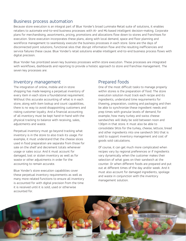#### Business process automation

Because store execution is an integral part of Blue Yonder's broad Luminate Retail suite of solutions, it enables retailers to automate end-to-end business processes with AI- and ML-based intelligent decision-making. Corporate plans for merchandising, assortments, pricing, promotions and allocations flow down to stores and franchises for execution. Store execution incorporates these plans, along with local demand, space and floor planning and workforce management to seamlessly execute the business processes in each store. Gone are the days of disconnected point solutions, functional silos that disrupt information flow and the resulting inefficiencies and service failures these cause. Blue Yonder's retail solutions enable intelligent end-to-end business process flows with digital precision.

Blue Yonder has prioritized seven key business processes within store execution. These processes are integrated with workflows, dashboards and reporting to provide a holistic approach to store and franchise management. The seven key processes are:

#### Inventory management

The integration of online, mobile and in-store shopping has made keeping a perpetual inventory of every item in each store a foundational requirement. Without this accurate accounting of what is in each store, along with item lookup and count capabilities, there is no way to avoid disappointing customers and risking customer loyalty. And a financial accounting of all inventory must be kept hand-in-hand with the physical tracking to balance with receiving, sales, adjustments and waste.

Perpetual inventory must go beyond tracking what inventory is in the store to also track its usage. For example, it must understand that the cheese slices used in food preparation are separate from those for sale on the shelf and decrement totals whenever usage or sales occur. And it must account for damaged, lost or stolen inventory as well as for waste or other adjustments in order for the accounting to remain accurate.

Blue Yonder's store execution capabilities cover these perpetual inventory requirements as well as many more related functions to ensure all inventory is accounted for with digital precision from the time it is received until it is sold, used or otherwise accounted for.

# Prepared foods

One of the most difficult tasks to manage properly within stores is the preparation of food. The store execution solution must track each recipe and its ingredients, understand time requirements for thawing, preparation, cooking and packaging and then be able to synchronize these ingredient needs and prep times with granular levels of demand, for example, how many turkey and swiss cheese sandwiches will likely be sold between noon and 1:30pm in that store. It must also be able to consolidate SKUs for the turkey, cheese, lettuce, bread and other ingredients into one sandwich SKU that is sold to support inventory management and cost of goods sold calculations.

Of course, it can get much more complicated when recipes vary by regional preferences or if ingredients vary dynamically when the customer makes their selection of what goes on their sandwich at the counter. Or when different foods are prepared and put out at different times of the day and/or week. And it must also account for damaged ingredients, spoilage and waste in conjunction with the inventory management solution.

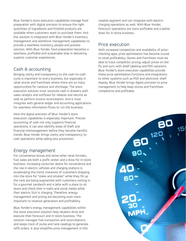Blue Yonder's store execution capabilities manage food preparation with digital precision to ensure the right quantities of ingredients and finished products are available when customers want to purchase them. And the solution is integrated with Blue Yonder's inventory management and workforce management capabilities to provide a seamless inventory, people and process solution. With Blue Yonder, food preparation becomes a seamless, profitable and sustainable step in delivering superior customer experiences.

# Cash & accounting

Bringing clarity and transparency to the cash-to-cash cycle is important to every business, but especially in retail stores and franchises where there are so many opportunities for variance and shrinkage. The store execution solution must reconcile cash in drawers with sales receipts and outflows for rebates and returns as well as perform invoice reconciliation. And it must integrate with general ledger and accounting applications for seamless information flows to run the business.

Here the digital precision of Blue Yonder's store execution capabilities is especially important. Precise accounting of cash not only supports financial operations, it can also identify areas of theft and financial mismanagement before they become harmful trends. Blue Yonder brings clarity and transparency to cash operations while aiding loss prevention.

### Energy management

For convenience stores and some other retail formats, fuel sales are both a profit center and a draw for in-store business. Increasing consumer desire for convenience and the rise in electric vehicles and charging stations is accelerating this trend. Instances of customers dropping into the store for "cokes and smokes" while they fill up the tank are being augmented with customers coming in for a gourmet sandwich and a latte with a place to sit down and check their e-mails and social media while their electric SUV is charging. Therefore, energy management and pricing are becoming even more important to revenue generation and profitability.

Blue Yonder's energy management capabilities within the store execution solution help retailers drive and execute their forecourt and in-store business. The solution manages fuel transaction and reconciliations and keeps track of pump and tank readings to generate refill orders. It also simplifies price management in this

volatile segment and can integrate with electric charging operations as well. With Blue Yonder, forecourt operations are more profitable and a better draw for in-store business.

# Price execution

With increased competition and availability of pricechecking apps, price optimization has become crucial to retail profitability. Stores and franchises must be able to track competitor pricing, adjust prices on the fly and sync with shelf labeling and POS solutions. Blue Yonder's store execution capabilities provide these price optimization functions and integrations to other systems such as POS and electronic shelf display. Blue Yonder brings digital precision to price management to help keep stores and franchises competitive and profitable.

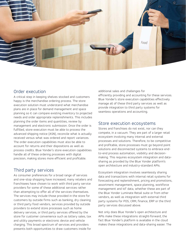

#### Order execution

A critical step in keeping shelves stocked and customers happy is the merchandise ordering process. The store execution solution must understand what merchandise plans are in place for demand management and space planning so it can compare existing inventory to projected needs and order appropriate replenishments. This includes planning the order items and quantities, review by management and electronic submission. Once the order is fulfilled, store execution must be able to process the advanced shipping notice (ASN), reconcile what is actually received versus what was ordered and report variances. The order execution capabilities must also be able to account for returns and their dispositions as well as process credits. Blue Yonder's store execution capabilities handle all of these ordering processes with digital precision, making stores more efficient and profitable.

# Third party services

As consumer preferences for a broad range of services and one-stop shopping have increased, many retailers and franchisees have chosen to work with third party service providers for some of these additional services rather than attempting to offer all of the services themselves. The services may include those provided in the store for customers by outside firms such as banking, dry cleaning or third party food vendors, services provided by outside providers to extend store processes such as home delivery services, or third party services offered by the store for customer convenience such as lottery sales, tax and utility payments or electronic device and vehicle charging. This broad spectrum of services and providers presents both opportunities to draw customers inside for

additional sales and challenges for efficiently providing and accounting for these services. Blue Yonder's store execution capabilities effectively manage all of these third party services as well as provide integration to third party systems for seamless operations and accounting.

#### Store execution ecosystems

Stores and franchises do not exist, nor can they compete, in a vacuum. They are part of a larger retail ecosystem involving many internal and external processes and solutions. Therefore, to be competitive and profitable, store processes must go beyond point solutions and disconnected systems to embrace endto-end process automation, visibility and decisionmaking. This requires ecosystem integration and datasharing as provided by the Blue Yonder platform's open architecture and industry-standard APIs.

Ecosystem integration involves seamlessly sharing data and transactions with internal retail systems for forecasting and replenishment, pricing and promotions, assortment management, space planning, workforce management and IoT data, whether these are part of the Blue Yonder Luminate Retail suite or from other vendors, as well as integration with external third party systems for POS, CRM, finance, ERP or the third party services discussed above.

Not only does Blue Yonder's open architecture and APIs make these integrations straight-forward, the fact Blue Yonder's platform is available in the cloud makes these integrations and data-sharing easier. The